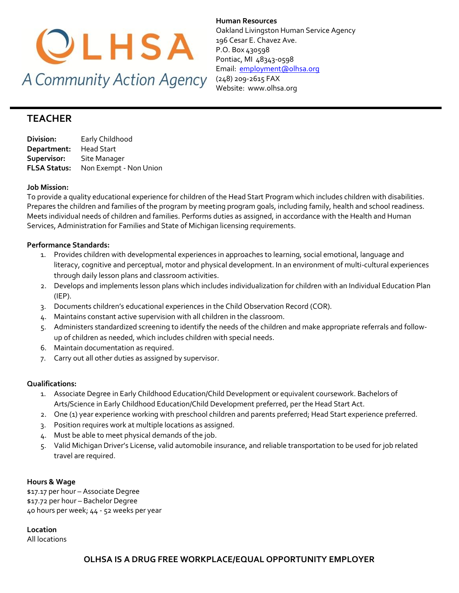

**Human Resources**  Oakland Livingston Human Service Agency 196 Cesar E. Chavez Ave. P.O. Box 430598 Pontiac, MI 48343-0598 Email: [employment@olhsa.org](mailto:employment@olhsa.org) (248) 209-2615 FAX Website: www.olhsa.org

## **TEACHER**

| Division:           | Early Childhood        |
|---------------------|------------------------|
| Department:         | <b>Head Start</b>      |
| Supervisor:         | Site Manager           |
| <b>FLSA Status:</b> | Non Exempt - Non Union |

#### **Job Mission:**

To provide a quality educational experience for children of the Head Start Program which includes children with disabilities. Prepares the children and families of the program by meeting program goals, including family, health and school readiness. Meets individual needs of children and families. Performs duties as assigned, in accordance with the Health and Human Services, Administration for Families and State of Michigan licensing requirements.

#### **Performance Standards:**

- 1. Provides children with developmental experiences in approaches to learning, social emotional, language and literacy, cognitive and perceptual, motor and physical development. In an environment of multi-cultural experiences through daily lesson plans and classroom activities.
- 2. Develops and implements lesson plans which includes individualization for children with an Individual Education Plan (IEP).
- 3. Documents children's educational experiences in the Child Observation Record (COR).
- 4. Maintains constant active supervision with all children in the classroom.
- 5. Administers standardized screening to identify the needs of the children and make appropriate referrals and followup of children as needed, which includes children with special needs.
- 6. Maintain documentation as required.
- 7. Carry out all other duties as assigned by supervisor.

#### **Qualifications:**

- 1. Associate Degree in Early Childhood Education/Child Development or equivalent coursework. Bachelors of Arts/Science in Early Childhood Education/Child Development preferred, per the Head Start Act.
- 2. One (1) year experience working with preschool children and parents preferred; Head Start experience preferred.
- 3. Position requires work at multiple locations as assigned.
- 4. Must be able to meet physical demands of the job.
- 5. Valid Michigan Driver's License, valid automobile insurance, and reliable transportation to be used for job related travel are required.

#### **Hours & Wage**

\$17.17 per hour – Associate Degree \$17.72 per hour – Bachelor Degree 40 hours per week; 44 - 52 weeks per year

**Location** All locations